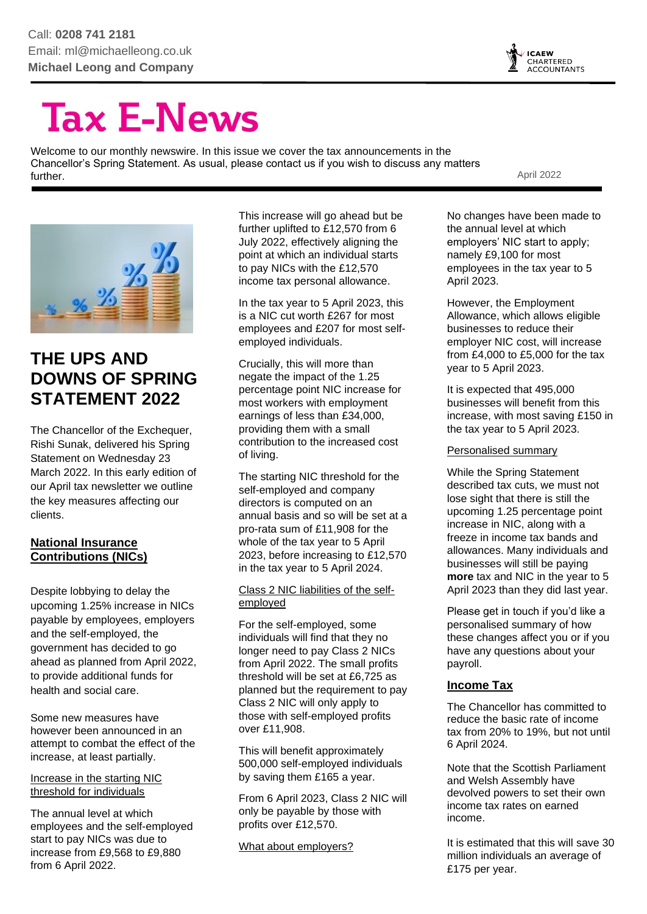

# **Tax E-News**

Welcome to our monthly newswire. In this issue we cover the tax announcements in the Chancellor's Spring Statement. As usual, please contact us if you wish to discuss any matters further. April 2022



# **THE UPS AND DOWNS OF SPRING STATEMENT 2022**

The Chancellor of the Exchequer, Rishi Sunak, delivered his Spring Statement on Wednesday 23 March 2022. In this early edition of our April tax newsletter we outline the key measures affecting our clients.

#### **National Insurance Contributions (NICs)**

Despite lobbying to delay the upcoming 1.25% increase in NICs payable by employees, employers and the self-employed, the government has decided to go ahead as planned from April 2022, to provide additional funds for health and social care.

Some new measures have however been announced in an attempt to combat the effect of the increase, at least partially.

#### Increase in the starting NIC threshold for individuals

The annual level at which employees and the self-employed start to pay NICs was due to increase from £9,568 to £9,880 from 6 April 2022.

This increase will go ahead but be further uplifted to £12,570 from 6 July 2022, effectively aligning the point at which an individual starts to pay NICs with the £12,570 income tax personal allowance.

In the tax year to 5 April 2023, this is a NIC cut worth £267 for most employees and £207 for most selfemployed individuals.

Crucially, this will more than negate the impact of the 1.25 percentage point NIC increase for most workers with employment earnings of less than £34,000, providing them with a small contribution to the increased cost of living.

The starting NIC threshold for the self-employed and company directors is computed on an annual basis and so will be set at a pro-rata sum of £11,908 for the whole of the tax year to 5 April 2023, before increasing to £12,570 in the tax year to 5 April 2024.

#### Class 2 NIC liabilities of the selfemployed

For the self-employed, some individuals will find that they no longer need to pay Class 2 NICs from April 2022. The small profits threshold will be set at £6,725 as planned but the requirement to pay Class 2 NIC will only apply to those with self-employed profits over £11,908.

This will benefit approximately 500,000 self-employed individuals by saving them £165 a year.

From 6 April 2023, Class 2 NIC will only be payable by those with profits over £12,570.

What about employers?

No changes have been made to the annual level at which employers' NIC start to apply; namely £9,100 for most employees in the tax year to 5 April 2023.

However, the Employment Allowance, which allows eligible businesses to reduce their employer NIC cost, will increase from £4,000 to £5,000 for the tax year to 5 April 2023.

It is expected that 495,000 businesses will benefit from this increase, with most saving £150 in the tax year to 5 April 2023.

Personalised summary

While the Spring Statement described tax cuts, we must not lose sight that there is still the upcoming 1.25 percentage point increase in NIC, along with a freeze in income tax bands and allowances. Many individuals and businesses will still be paying **more** tax and NIC in the year to 5 April 2023 than they did last year.

Please get in touch if you'd like a personalised summary of how these changes affect you or if you have any questions about your payroll.

#### **Income Tax**

The Chancellor has committed to reduce the basic rate of income tax from 20% to 19%, but not until 6 April 2024.

Note that the Scottish Parliament and Welsh Assembly have devolved powers to set their own income tax rates on earned income.

It is estimated that this will save 30 million individuals an average of £175 per year.